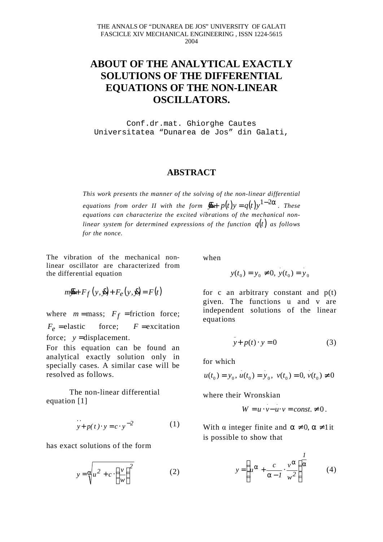## **ABOUT OF THE ANALYTICAL EXACTLY SOLUTIONS OF THE DIFFERENTIAL EQUATIONS OF THE NON-LINEAR OSCILLATORS.**

Conf.dr.mat. Ghiorghe Cautes Universitatea "Dunarea de Jos" din Galati,

## **ABSTRACT**

*This work presents the manner of the solving of the non-linear differential equations from order II with the form*  $\bar{y} + p(t)y = q(t)y^{1-2\alpha}$ . These *equations can characterize the excited vibrations of the mechanical nonlinear system for determined expressions of the function q*(*t*) *as follows for the nonce.*

The vibration of the mechanical nonlinear oscillator are characterized from the differential equation

$$
m\vec{y} + F_f(y, \vec{y}) + F_e(y, \vec{y}) = F(t)
$$

where  $m = \text{mass};$   $F_f = \text{friction force};$  $F_e$  = elastic force;  $F$  = excitation force;  $y =$ displacement.

For this equation can be found an analytical exactly solution only in specially cases. A similar case will be resolved as follows.

The non-linear differential equation [1]

$$
\therefore
$$
  
  $y + p(t) \cdot y = c \cdot y^{-2}$  (1)

has exact solutions of the form

$$
y = \sqrt{\frac{u^2 + c \cdot \left(\frac{v}{w}\right)^2}{(w^2)^2}}
$$
 (2)

when

$$
y(t_0) = y_0 \neq 0, y(t_0) = y_0
$$

for c an arbitrary constant and  $p(t)$ given. The functions u and v are independent solutions of the linear equations

$$
y + p(t) \cdot y = 0 \tag{3}
$$

for which

$$
u(t_0) = y_0, u(t_0) = y_0, v(t_0) = 0, v(t_0) \neq 0
$$

where their Wronskian

$$
W = u \cdot v - u \cdot v = const. \neq 0.
$$

With  $\alpha$  integer finite and  $\alpha \neq 0$ ,  $\alpha \neq 1$  it is possible to show that

$$
y = \left(u^{\alpha} + \frac{c}{\alpha - 1} \cdot \frac{v^{\alpha}}{w^2}\right)^{\frac{1}{\alpha}} \tag{4}
$$